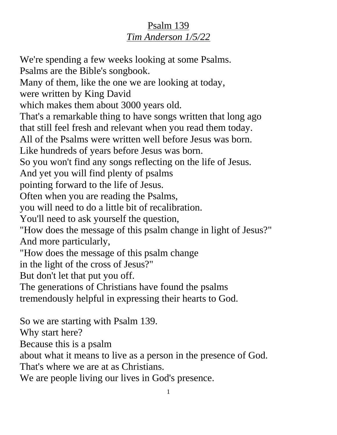## Psalm 139 *Tim Anderson 1/5/22*

We're spending a few weeks looking at some Psalms. Psalms are the Bible's songbook. Many of them, like the one we are looking at today, were written by King David which makes them about 3000 years old. That's a remarkable thing to have songs written that long ago that still feel fresh and relevant when you read them today. All of the Psalms were written well before Jesus was born. Like hundreds of years before Jesus was born. So you won't find any songs reflecting on the life of Jesus. And yet you will find plenty of psalms pointing forward to the life of Jesus. Often when you are reading the Psalms, you will need to do a little bit of recalibration. You'll need to ask yourself the question, "How does the message of this psalm change in light of Jesus?" And more particularly, "How does the message of this psalm change in the light of the cross of Jesus?" But don't let that put you off. The generations of Christians have found the psalms tremendously helpful in expressing their hearts to God. So we are starting with Psalm 139. Why start here? Because this is a psalm

about what it means to live as a person in the presence of God.

That's where we are at as Christians.

We are people living our lives in God's presence.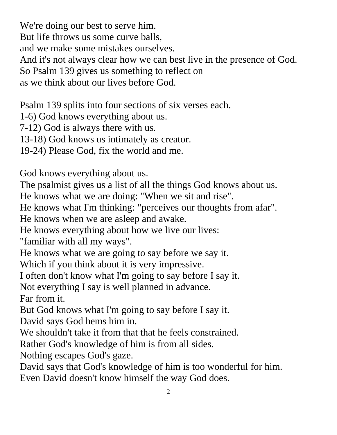We're doing our best to serve him. But life throws us some curve balls, and we make some mistakes ourselves. And it's not always clear how we can best live in the presence of God. So Psalm 139 gives us something to reflect on as we think about our lives before God.

Psalm 139 splits into four sections of six verses each.

1-6) God knows everything about us.

7-12) God is always there with us.

13-18) God knows us intimately as creator.

19-24) Please God, fix the world and me.

God knows everything about us.

The psalmist gives us a list of all the things God knows about us.

He knows what we are doing: "When we sit and rise".

He knows what I'm thinking: "perceives our thoughts from afar".

He knows when we are asleep and awake.

He knows everything about how we live our lives:

"familiar with all my ways".

He knows what we are going to say before we say it.

Which if you think about it is very impressive.

I often don't know what I'm going to say before I say it.

Not everything I say is well planned in advance.

Far from it.

But God knows what I'm going to say before I say it.

David says God hems him in.

We shouldn't take it from that that he feels constrained.

Rather God's knowledge of him is from all sides.

Nothing escapes God's gaze.

David says that God's knowledge of him is too wonderful for him. Even David doesn't know himself the way God does.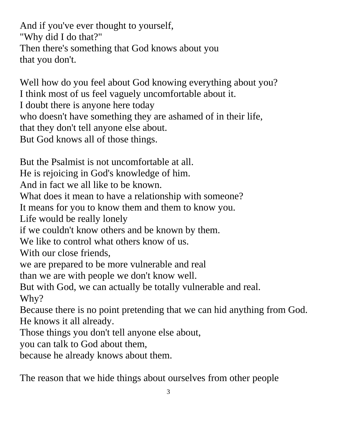And if you've ever thought to yourself, "Why did I do that?" Then there's something that God knows about you that you don't.

Well how do you feel about God knowing everything about you? I think most of us feel vaguely uncomfortable about it. I doubt there is anyone here today who doesn't have something they are ashamed of in their life, that they don't tell anyone else about. But God knows all of those things.

But the Psalmist is not uncomfortable at all.

He is rejoicing in God's knowledge of him.

And in fact we all like to be known.

What does it mean to have a relationship with someone?

It means for you to know them and them to know you.

Life would be really lonely

if we couldn't know others and be known by them.

We like to control what others know of us.

With our close friends,

we are prepared to be more vulnerable and real

than we are with people we don't know well.

But with God, we can actually be totally vulnerable and real. Why?

Because there is no point pretending that we can hid anything from God. He knows it all already.

Those things you don't tell anyone else about,

you can talk to God about them,

because he already knows about them.

The reason that we hide things about ourselves from other people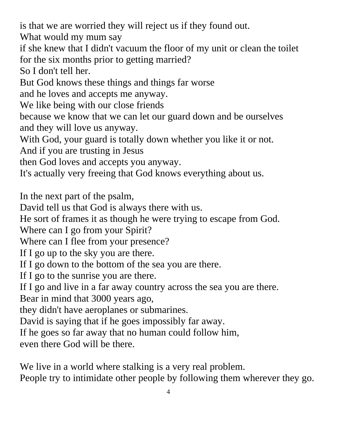is that we are worried they will reject us if they found out.

What would my mum say

if she knew that I didn't vacuum the floor of my unit or clean the toilet for the six months prior to getting married?

So I don't tell her.

But God knows these things and things far worse

and he loves and accepts me anyway.

We like being with our close friends

because we know that we can let our guard down and be ourselves and they will love us anyway.

With God, your guard is totally down whether you like it or not.

And if you are trusting in Jesus

then God loves and accepts you anyway.

It's actually very freeing that God knows everything about us.

In the next part of the psalm,

David tell us that God is always there with us.

He sort of frames it as though he were trying to escape from God.

Where can I go from your Spirit?

Where can I flee from your presence?

If I go up to the sky you are there.

If I go down to the bottom of the sea you are there.

If I go to the sunrise you are there.

If I go and live in a far away country across the sea you are there.

Bear in mind that 3000 years ago,

they didn't have aeroplanes or submarines.

David is saying that if he goes impossibly far away.

If he goes so far away that no human could follow him,

even there God will be there.

We live in a world where stalking is a very real problem.

People try to intimidate other people by following them wherever they go.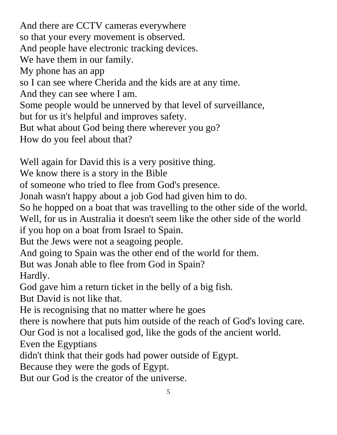And there are CCTV cameras everywhere so that your every movement is observed. And people have electronic tracking devices. We have them in our family. My phone has an app so I can see where Cherida and the kids are at any time. And they can see where I am. Some people would be unnerved by that level of surveillance, but for us it's helpful and improves safety. But what about God being there wherever you go? How do you feel about that?

Well again for David this is a very positive thing.

We know there is a story in the Bible

of someone who tried to flee from God's presence.

Jonah wasn't happy about a job God had given him to do.

So he hopped on a boat that was travelling to the other side of the world.

Well, for us in Australia it doesn't seem like the other side of the world

if you hop on a boat from Israel to Spain.

But the Jews were not a seagoing people.

And going to Spain was the other end of the world for them.

But was Jonah able to flee from God in Spain?

Hardly.

God gave him a return ticket in the belly of a big fish.

But David is not like that.

He is recognising that no matter where he goes

there is nowhere that puts him outside of the reach of God's loving care.

Our God is not a localised god, like the gods of the ancient world.

Even the Egyptians

didn't think that their gods had power outside of Egypt.

Because they were the gods of Egypt.

But our God is the creator of the universe.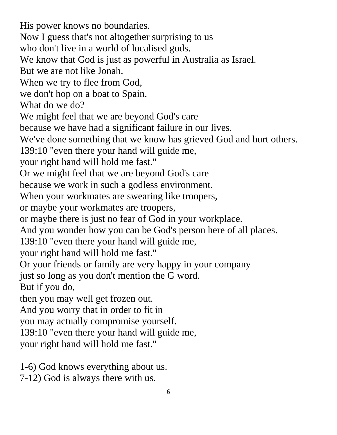His power knows no boundaries. Now I guess that's not altogether surprising to us who don't live in a world of localised gods. We know that God is just as powerful in Australia as Israel. But we are not like Jonah. When we try to flee from God, we don't hop on a boat to Spain. What do we do? We might feel that we are beyond God's care because we have had a significant failure in our lives. We've done something that we know has grieved God and hurt others. 139:10 "even there your hand will guide me, your right hand will hold me fast." Or we might feel that we are beyond God's care because we work in such a godless environment. When your workmates are swearing like troopers, or maybe your workmates are troopers, or maybe there is just no fear of God in your workplace. And you wonder how you can be God's person here of all places. 139:10 "even there your hand will guide me, your right hand will hold me fast." Or your friends or family are very happy in your company just so long as you don't mention the G word. But if you do, then you may well get frozen out. And you worry that in order to fit in you may actually compromise yourself. 139:10 "even there your hand will guide me, your right hand will hold me fast."

1-6) God knows everything about us. 7-12) God is always there with us.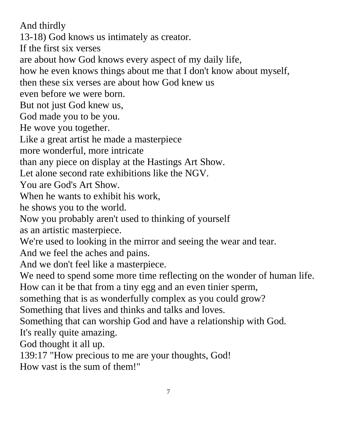And thirdly

13-18) God knows us intimately as creator.

If the first six verses

are about how God knows every aspect of my daily life,

how he even knows things about me that I don't know about myself,

then these six verses are about how God knew us

even before we were born.

But not just God knew us,

God made you to be you.

He wove you together.

Like a great artist he made a masterpiece

more wonderful, more intricate

than any piece on display at the Hastings Art Show.

Let alone second rate exhibitions like the NGV.

You are God's Art Show.

When he wants to exhibit his work,

he shows you to the world.

Now you probably aren't used to thinking of yourself

as an artistic masterpiece.

We're used to looking in the mirror and seeing the wear and tear.

And we feel the aches and pains.

And we don't feel like a masterpiece.

We need to spend some more time reflecting on the wonder of human life.

How can it be that from a tiny egg and an even tinier sperm,

something that is as wonderfully complex as you could grow?

Something that lives and thinks and talks and loves.

Something that can worship God and have a relationship with God. It's really quite amazing.

God thought it all up.

139:17 "How precious to me are your thoughts, God!

How vast is the sum of them!"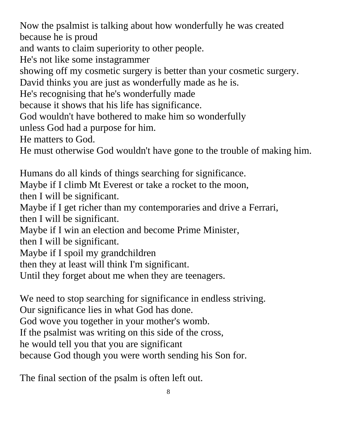Now the psalmist is talking about how wonderfully he was created because he is proud

and wants to claim superiority to other people.

He's not like some instagrammer

showing off my cosmetic surgery is better than your cosmetic surgery.

David thinks you are just as wonderfully made as he is.

He's recognising that he's wonderfully made

because it shows that his life has significance.

God wouldn't have bothered to make him so wonderfully

unless God had a purpose for him.

He matters to God.

He must otherwise God wouldn't have gone to the trouble of making him.

Humans do all kinds of things searching for significance. Maybe if I climb Mt Everest or take a rocket to the moon,

then I will be significant.

Maybe if I get richer than my contemporaries and drive a Ferrari, then I will be significant.

Maybe if I win an election and become Prime Minister,

then I will be significant.

Maybe if I spoil my grandchildren

then they at least will think I'm significant.

Until they forget about me when they are teenagers.

We need to stop searching for significance in endless striving.

Our significance lies in what God has done.

God wove you together in your mother's womb.

If the psalmist was writing on this side of the cross,

he would tell you that you are significant

because God though you were worth sending his Son for.

The final section of the psalm is often left out.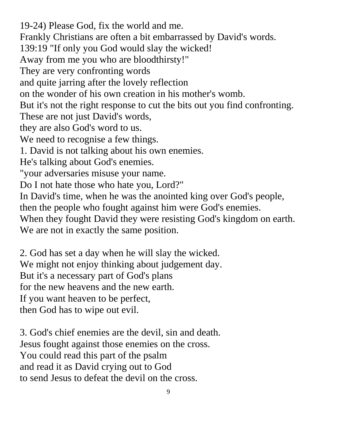19-24) Please God, fix the world and me. Frankly Christians are often a bit embarrassed by David's words. 139:19 "If only you God would slay the wicked! Away from me you who are bloodthirsty!" They are very confronting words and quite jarring after the lovely reflection on the wonder of his own creation in his mother's womb. But it's not the right response to cut the bits out you find confronting. These are not just David's words, they are also God's word to us. We need to recognise a few things. 1. David is not talking about his own enemies. He's talking about God's enemies. "your adversaries misuse your name. Do I not hate those who hate you, Lord?" In David's time, when he was the anointed king over God's people, then the people who fought against him were God's enemies. When they fought David they were resisting God's kingdom on earth. We are not in exactly the same position.

2. God has set a day when he will slay the wicked. We might not enjoy thinking about judgement day. But it's a necessary part of God's plans for the new heavens and the new earth. If you want heaven to be perfect, then God has to wipe out evil.

3. God's chief enemies are the devil, sin and death. Jesus fought against those enemies on the cross. You could read this part of the psalm and read it as David crying out to God to send Jesus to defeat the devil on the cross.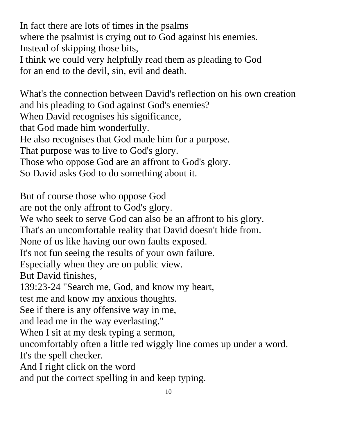In fact there are lots of times in the psalms where the psalmist is crying out to God against his enemies. Instead of skipping those bits, I think we could very helpfully read them as pleading to God for an end to the devil, sin, evil and death.

What's the connection between David's reflection on his own creation and his pleading to God against God's enemies? When David recognises his significance, that God made him wonderfully. He also recognises that God made him for a purpose. That purpose was to live to God's glory. Those who oppose God are an affront to God's glory. So David asks God to do something about it.

But of course those who oppose God are not the only affront to God's glory. We who seek to serve God can also be an affront to his glory. That's an uncomfortable reality that David doesn't hide from. None of us like having our own faults exposed. It's not fun seeing the results of your own failure. Especially when they are on public view. But David finishes, 139:23-24 "Search me, God, and know my heart, test me and know my anxious thoughts. See if there is any offensive way in me, and lead me in the way everlasting." When I sit at my desk typing a sermon, uncomfortably often a little red wiggly line comes up under a word. It's the spell checker. And I right click on the word and put the correct spelling in and keep typing.